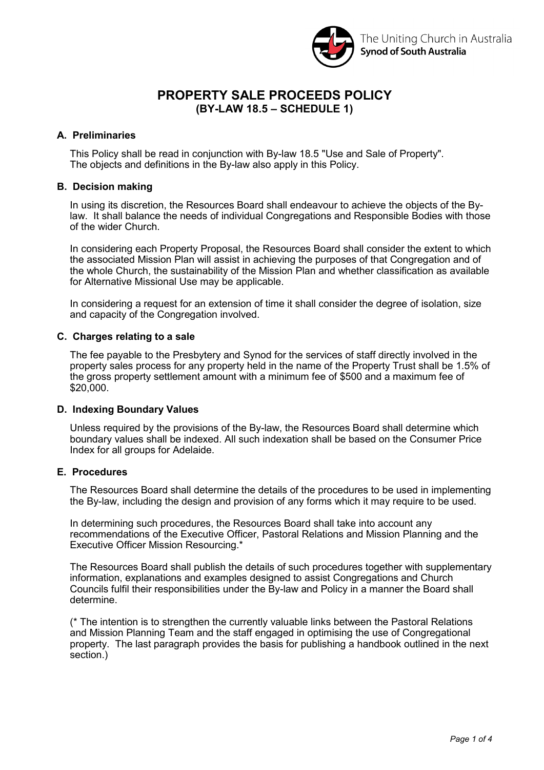

# **PROPERTY SALE PROCEEDS POLICY (BY-LAW 18.5 – SCHEDULE 1)**

## **A. Preliminaries**

This Policy shall be read in conjunction with By-law 18.5 "Use and Sale of Property". The objects and definitions in the By-law also apply in this Policy.

### **B. Decision making**

In using its discretion, the Resources Board shall endeavour to achieve the objects of the Bylaw. It shall balance the needs of individual Congregations and Responsible Bodies with those of the wider Church.

In considering each Property Proposal, the Resources Board shall consider the extent to which the associated Mission Plan will assist in achieving the purposes of that Congregation and of the whole Church, the sustainability of the Mission Plan and whether classification as available for Alternative Missional Use may be applicable.

In considering a request for an extension of time it shall consider the degree of isolation, size and capacity of the Congregation involved.

#### **C. Charges relating to a sale**

The fee payable to the Presbytery and Synod for the services of staff directly involved in the property sales process for any property held in the name of the Property Trust shall be 1.5% of the gross property settlement amount with a minimum fee of \$500 and a maximum fee of \$20,000.

### **D. Indexing Boundary Values**

Unless required by the provisions of the By-law, the Resources Board shall determine which boundary values shall be indexed. All such indexation shall be based on the Consumer Price Index for all groups for Adelaide.

### **E. Procedures**

The Resources Board shall determine the details of the procedures to be used in implementing the By-law, including the design and provision of any forms which it may require to be used.

In determining such procedures, the Resources Board shall take into account any recommendations of the Executive Officer, Pastoral Relations and Mission Planning and the Executive Officer Mission Resourcing.\*

The Resources Board shall publish the details of such procedures together with supplementary information, explanations and examples designed to assist Congregations and Church Councils fulfil their responsibilities under the By-law and Policy in a manner the Board shall determine.

(\* The intention is to strengthen the currently valuable links between the Pastoral Relations and Mission Planning Team and the staff engaged in optimising the use of Congregational property. The last paragraph provides the basis for publishing a handbook outlined in the next section.)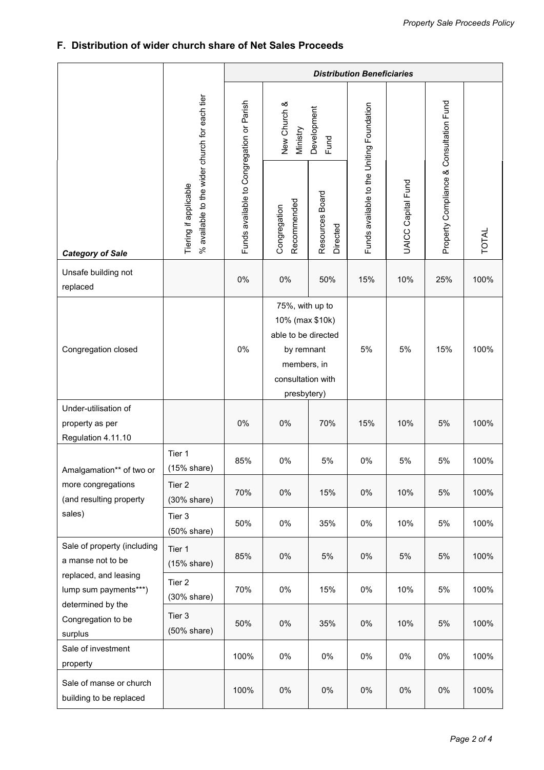# **F. Distribution of wider church share of Net Sales Proceeds**

|                                                                                                                                                          | % available to the wider church for each tien<br>Tiering if applicable | <b>Distribution Beneficiaries</b>         |                                                                                                                            |                             |                                           |                           |                                         |              |
|----------------------------------------------------------------------------------------------------------------------------------------------------------|------------------------------------------------------------------------|-------------------------------------------|----------------------------------------------------------------------------------------------------------------------------|-----------------------------|-------------------------------------------|---------------------------|-----------------------------------------|--------------|
| <b>Category of Sale</b>                                                                                                                                  |                                                                        | Funds available to Congregation or Parish | New Church &<br>Development<br>Ministry<br>Fund                                                                            |                             |                                           |                           |                                         |              |
|                                                                                                                                                          |                                                                        |                                           | Recommended<br>Congregation                                                                                                | Resources Board<br>Directed | Funds available to the Uniting Foundation | <b>UAICC Capital Fund</b> | Property Compliance & Consultation Fund | <b>TOTAL</b> |
| Unsafe building not<br>replaced                                                                                                                          |                                                                        | 0%                                        | 0%                                                                                                                         | 50%                         | 15%                                       | 10%                       | 25%                                     | 100%         |
| Congregation closed                                                                                                                                      |                                                                        | 0%                                        | 75%, with up to<br>10% (max \$10k)<br>able to be directed<br>by remnant<br>members, in<br>consultation with<br>presbytery) |                             | 5%                                        | 5%                        | 15%                                     | 100%         |
| Under-utilisation of<br>property as per<br>Regulation 4.11.10                                                                                            |                                                                        | 0%                                        | 0%                                                                                                                         | 70%                         | 15%                                       | 10%                       | 5%                                      | 100%         |
| Amalgamation** of two or<br>more congregations<br>(and resulting property<br>sales)                                                                      | Tier 1<br>(15% share)                                                  | 85%                                       | 0%                                                                                                                         | 5%                          | 0%                                        | 5%                        | 5%                                      | 100%         |
|                                                                                                                                                          | Tier 2<br>$(30\% \text{ share})$                                       | 70%                                       | $0\%$                                                                                                                      | 15%                         | 0%                                        | 10%                       | 5%                                      | 100%         |
|                                                                                                                                                          | Tier 3<br>$(50\% \text{ share})$                                       | 50%                                       | 0%                                                                                                                         | 35%                         | 0%                                        | 10%                       | 5%                                      | 100%         |
| Sale of property (including<br>a manse not to be<br>replaced, and leasing<br>lump sum payments***)<br>determined by the<br>Congregation to be<br>surplus | Tier 1<br>(15% share)                                                  | 85%                                       | 0%                                                                                                                         | 5%                          | 0%                                        | 5%                        | 5%                                      | 100%         |
|                                                                                                                                                          | Tier 2<br>$(30%$ share)                                                | 70%                                       | $0\%$                                                                                                                      | 15%                         | 0%                                        | 10%                       | 5%                                      | 100%         |
|                                                                                                                                                          | Tier 3<br>$(50\% \text{ share})$                                       | 50%                                       | $0\%$                                                                                                                      | 35%                         | 0%                                        | 10%                       | 5%                                      | 100%         |
| Sale of investment<br>property                                                                                                                           |                                                                        | 100%                                      | $0\%$                                                                                                                      | $0\%$                       | 0%                                        | $0\%$                     | $0\%$                                   | 100%         |
| Sale of manse or church<br>building to be replaced                                                                                                       |                                                                        | 100%                                      | $0\%$                                                                                                                      | $0\%$                       | 0%                                        | $0\%$                     | $0\%$                                   | 100%         |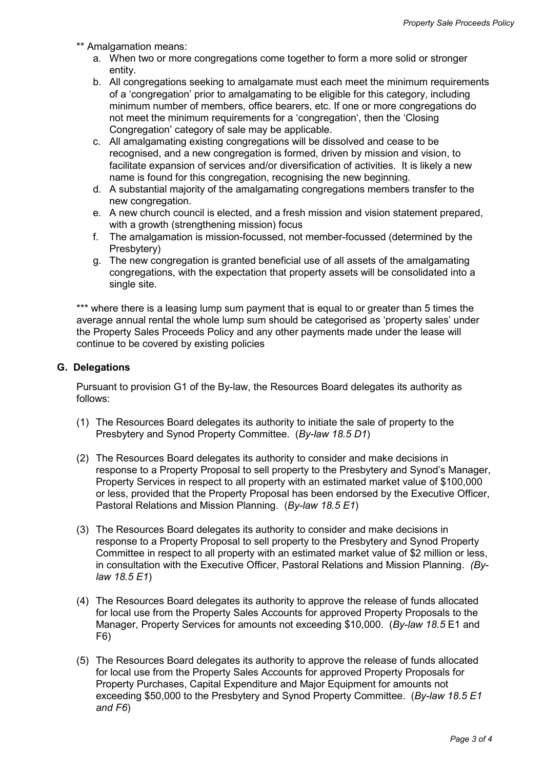- \*\* Amalgamation means:
	- a. When two or more congregations come together to form a more solid or stronger entity.
	- b. All congregations seeking to amalgamate must each meet the minimum requirements of a 'congregation' prior to amalgamating to be eligible for this category, including minimum number of members, office bearers, etc. If one or more congregations do not meet the minimum requirements for a 'congregation', then the 'Closing Congregation' category of sale may be applicable.
	- c. All amalgamating existing congregations will be dissolved and cease to be recognised, and a new congregation is formed, driven by mission and vision, to facilitate expansion of services and/or diversification of activities. It is likely a new name is found for this congregation, recognising the new beginning.
	- d. A substantial majority of the amalgamating congregations members transfer to the new congregation.
	- e. A new church council is elected, and a fresh mission and vision statement prepared, with a growth (strengthening mission) focus
	- f. The amalgamation is mission-focussed, not member-focussed (determined by the Presbytery)
	- g. The new congregation is granted beneficial use of all assets of the amalgamating congregations, with the expectation that property assets will be consolidated into a single site.

\*\*\* where there is a leasing lump sum payment that is equal to or greater than 5 times the average annual rental the whole lump sum should be categorised as 'property sales' under the Property Sales Proceeds Policy and any other payments made under the lease will continue to be covered by existing policies

#### **G. Delegations**

Pursuant to provision G1 of the By-law, the Resources Board delegates its authority as follows:

- (1) The Resources Board delegates its authority to initiate the sale of property to the Presbytery and Synod Property Committee. (*By-law 18.5 D1*)
- (2) The Resources Board delegates its authority to consider and make decisions in response to a Property Proposal to sell property to the Presbytery and Synod's Manager, Property Services in respect to all property with an estimated market value of \$100,000 or less, provided that the Property Proposal has been endorsed by the Executive Officer, Pastoral Relations and Mission Planning. (*By-law 18.5 E1*)
- (3) The Resources Board delegates its authority to consider and make decisions in response to a Property Proposal to sell property to the Presbytery and Synod Property Committee in respect to all property with an estimated market value of \$2 million or less, in consultation with the Executive Officer, Pastoral Relations and Mission Planning. *(Bylaw 18.5 E1*)
- (4) The Resources Board delegates its authority to approve the release of funds allocated for local use from the Property Sales Accounts for approved Property Proposals to the Manager, Property Services for amounts not exceeding \$10,000. (*By-law 18.5* E1 and F6)
- (5) The Resources Board delegates its authority to approve the release of funds allocated for local use from the Property Sales Accounts for approved Property Proposals for Property Purchases, Capital Expenditure and Major Equipment for amounts not exceeding \$50,000 to the Presbytery and Synod Property Committee. (*By-law 18.5 E1 and F6*)